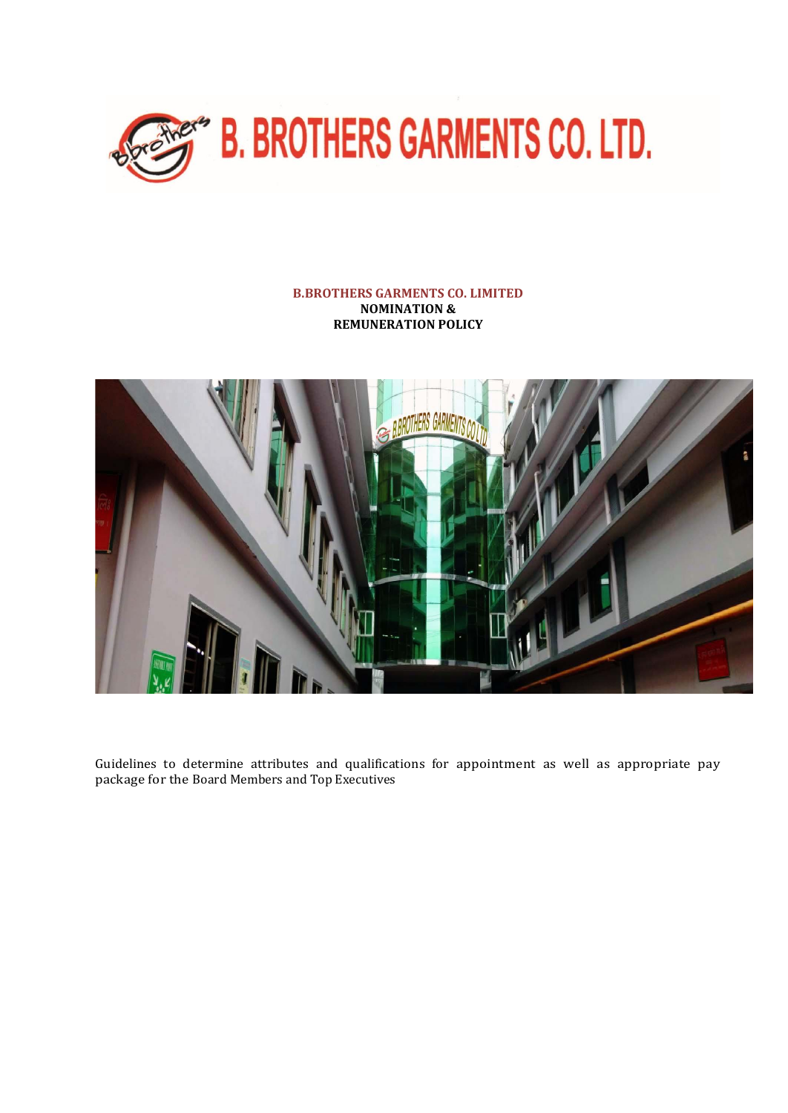

# **B.BROTHERS GARMENTS CO. LIMITED NOMINATION & REMUNERATION POLICY**



Guidelines to determine attributes and qualifications for appointment as well as appropriate pay package for the Board Members and Top Executives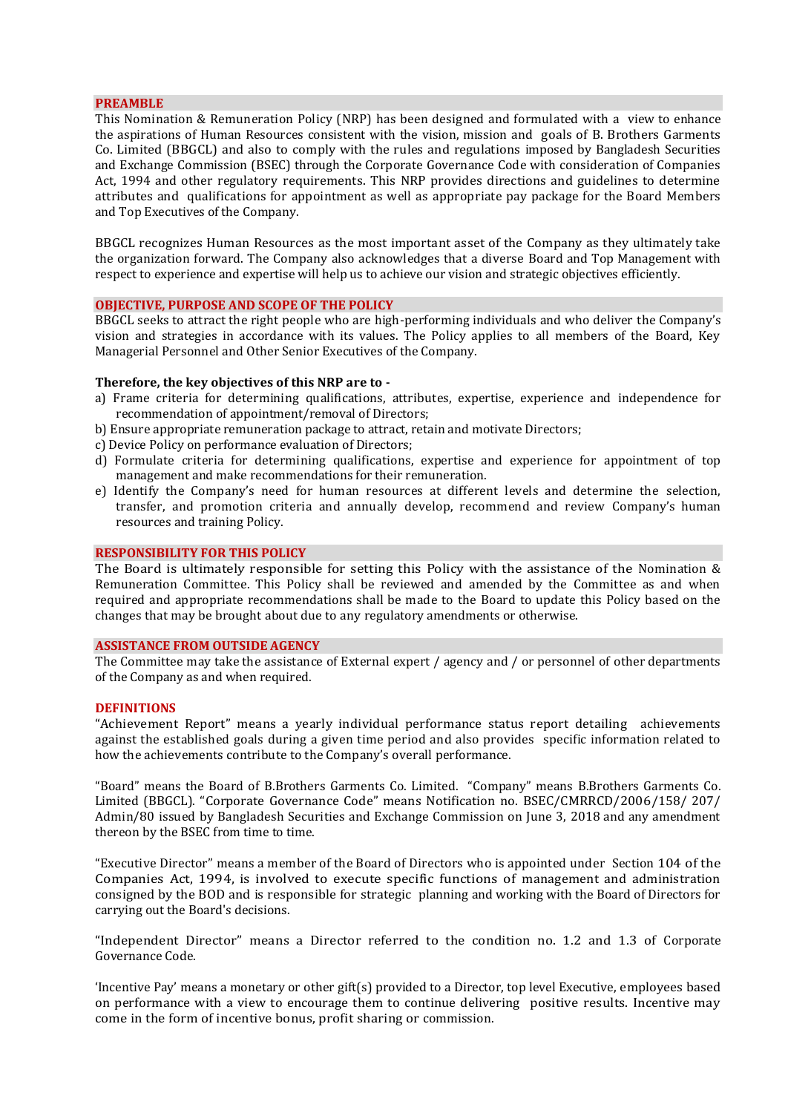## **PREAMBLE**

This Nomination & Remuneration Policy (NRP) has been designed and formulated with a view to enhance the aspirations of Human Resources consistent with the vision, mission and goals of B. Brothers Garments Co. Limited (BBGCL) and also to comply with the rules and regulations imposed by Bangladesh Securities and Exchange Commission (BSEC) through the Corporate Governance Code with consideration of Companies Act, 1994 and other regulatory requirements. This NRP provides directions and guidelines to determine attributes and qualifications for appointment as well as appropriate pay package for the Board Members and Top Executives of the Company.

BBGCL recognizes Human Resources as the most important asset of the Company as they ultimately take the organization forward. The Company also acknowledges that a diverse Board and Top Management with respect to experience and expertise will help us to achieve our vision and strategic objectives efficiently.

#### **OBJECTIVE, PURPOSE AND SCOPE OF THE POLICY**

BBGCL seeks to attract the right people who are high-performing individuals and who deliver the Company's vision and strategies in accordance with its values. The Policy applies to all members of the Board, Key Managerial Personnel and Other Senior Executives of the Company.

#### **Therefore, the key objectives of this NRP are to -**

- a) Frame criteria for determining qualifications, attributes, expertise, experience and independence for recommendation of appointment/removal of Directors;
- b) Ensure appropriate remuneration package to attract, retain and motivate Directors;
- c) Device Policy on performance evaluation of Directors;
- d) Formulate criteria for determining qualifications, expertise and experience for appointment of top management and make recommendations for their remuneration.
- e) Identify the Company's need for human resources at different levels and determine the selection, transfer, and promotion criteria and annually develop, recommend and review Company's human resources and training Policy.

#### **RESPONSIBILITY FOR THIS POLICY**

The Board is ultimately responsible for setting this Policy with the assistance of the Nomination & Remuneration Committee. This Policy shall be reviewed and amended by the Committee as and when required and appropriate recommendations shall be made to the Board to update this Policy based on the changes that may be brought about due to any regulatory amendments or otherwise.

## **ASSISTANCE FROM OUTSIDE AGENCY**

The Committee may take the assistance of External expert / agency and / or personnel of other departments of the Company as and when required.

#### **DEFINITIONS**

"Achievement Report" means a yearly individual performance status report detailing achievements against the established goals during a given time period and also provides specific information related to how the achievements contribute to the Company's overall performance.

"Board" means the Board of B.Brothers Garments Co. Limited. "Company" means B.Brothers Garments Co. Limited (BBGCL). "Corporate Governance Code" means Notification no. BSEC/CMRRCD/2006/158/ 207/ Admin/80 issued by Bangladesh Securities and Exchange Commission on June 3, 2018 and any amendment thereon by the BSEC from time to time.

"Executive Director" means a member of the Board of Directors who is appointed under Section 104 of the Companies Act, 1994, is involved to execute specific functions of management and administration consigned by the BOD and is responsible for strategic planning and working with the Board of Directors for carrying out the Board's decisions.

"Independent Director" means a Director referred to the condition no. 1.2 and 1.3 of Corporate Governance Code.

'Incentive Pay' means a monetary or other gift(s) provided to a Director, top level Executive, employees based on performance with a view to encourage them to continue delivering positive results. Incentive may come in the form of incentive bonus, profit sharing or commission.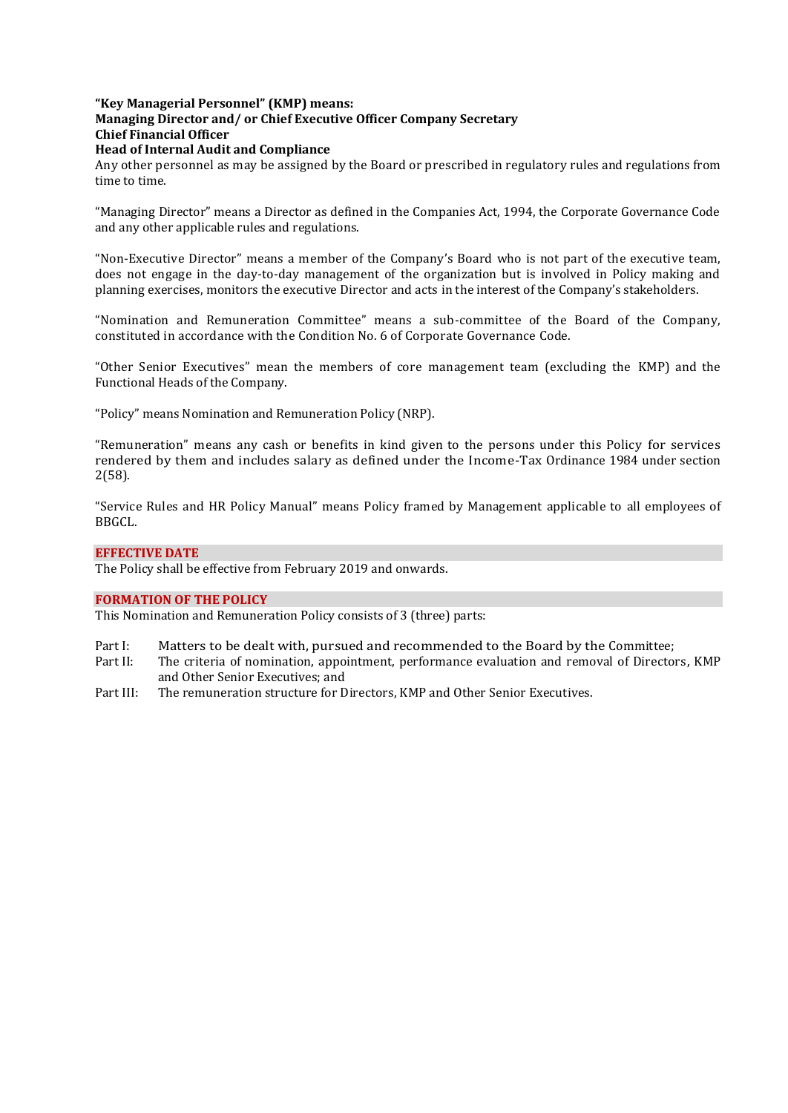# **"Key Managerial Personnel" (KMP) means:**

# **Managing Director and/ or Chief Executive Officer Company Secretary**

**Chief Financial Officer** 

# **Head of Internal Audit and Compliance**

Any other personnel as may be assigned by the Board or prescribed in regulatory rules and regulations from time to time.

"Managing Director" means a Director as defined in the Companies Act, 1994, the Corporate Governance Code and any other applicable rules and regulations.

"Non-Executive Director" means a member of the Company's [Board](https://www.investopedia.com/terms/b/boardofdirectors.asp) who is not part of the executive team, does not engage in the day-to-day management of the organization but is involved in Policy making and planning exercises, monitors the executive Director and acts in the interest of the Company's stakeholders.

"Nomination and Remuneration Committee" means a sub-committee of the Board of the Company, constituted in accordance with the Condition No. 6 of Corporate Governance Code.

"Other Senior Executives" mean the members of core management team (excluding the KMP) and the Functional Heads of the Company.

"Policy" means Nomination and Remuneration Policy (NRP).

"Remuneration" means any cash or benefits in kind given to the persons under this Policy for services rendered by them and includes salary as defined under the Income-Tax Ordinance 1984 under section 2(58).

"Service Rules and HR Policy Manual" means Policy framed by Management applicable to all employees of BBGCL.

# **EFFECTIVE DATE**

The Policy shall be effective from February 2019 and onwards.

# **FORMATION OF THE POLICY**

This Nomination and Remuneration Policy consists of 3 (three) parts:

- Part I: Matters to be dealt with, pursued and recommended to the Board by the Committee;<br>Part II: The criteria of nomination, appointment, performance evaluation and removal of Director
- The criteria of nomination, appointment, performance evaluation and removal of Directors, KMP and Other Senior Executives; and
- Part III: The remuneration structure for Directors, KMP and Other Senior Executives.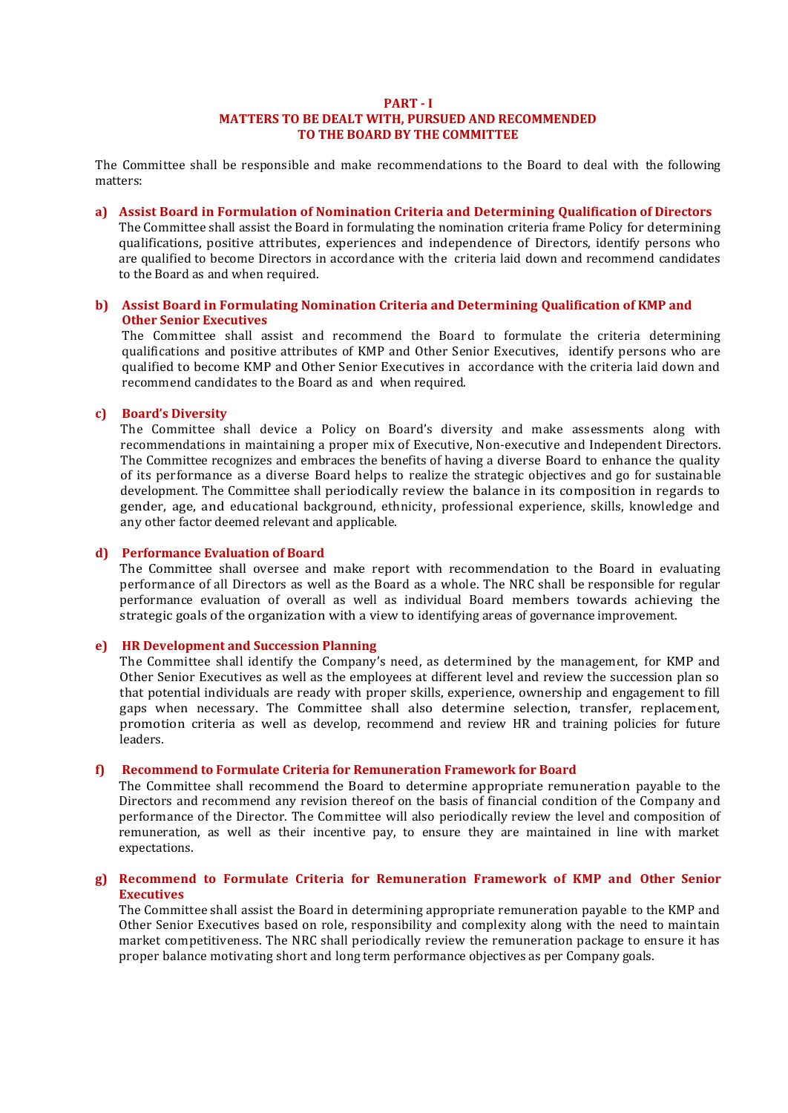## **PART - I MATTERS TO BE DEALT WITH, PURSUED AND RECOMMENDED TO THE BOARD BY THE COMMITTEE**

The Committee shall be responsible and make recommendations to the Board to deal with the following matters:

**a) Assist Board in Formulation of Nomination Criteria and Determining Qualification of Directors** 

The Committee shall assist the Board in formulating the nomination criteria frame Policy for determining qualifications, positive attributes, experiences and independence of Directors, identify persons who are qualified to become Directors in accordance with the criteria laid down and recommend candidates to the Board as and when required.

# **b) Assist Board in Formulating Nomination Criteria and Determining Qualification of KMP and Other Senior Executives**

The Committee shall assist and recommend the Board to formulate the criteria determining qualifications and positive attributes of KMP and Other Senior Executives, identify persons who are qualified to become KMP and Other Senior Executives in accordance with the criteria laid down and recommend candidates to the Board as and when required.

# **c) Board's Diversity**

The Committee shall device a Policy on Board's diversity and make assessments along with recommendations in maintaining a proper mix of Executive, Non-executive and Independent Directors. The Committee recognizes and embraces the benefits of having a diverse Board to enhance the quality of its performance as a diverse Board helps to realize the strategic objectives and go for sustainable development. The Committee shall periodically review the balance in its composition in regards to gender, age, and educational background, ethnicity, professional experience, skills, knowledge and any other factor deemed relevant and applicable.

# **d) Performance Evaluation of Board**

The Committee shall oversee and make report with recommendation to the Board in evaluating performance of all Directors as well as the Board as a whole. The NRC shall be responsible for regular performance evaluation of overall as well as individual Board members towards achieving the strategic goals of the organization with a view to identifying areas of governance improvement.

# **e) HR Development and Succession Planning**

The Committee shall identify the Company's need, as determined by the management, for KMP and Other Senior Executives as well as the employees at different level and review the succession plan so that potential individuals are ready with proper skills, experience, ownership and engagement to fill gaps when necessary. The Committee shall also determine selection, transfer, replacement, promotion criteria as well as develop, recommend and review HR and training policies for future leaders.

# **f) Recommend to Formulate Criteria for Remuneration Framework for Board**

The Committee shall recommend the Board to determine appropriate remuneration payable to the Directors and recommend any revision thereof on the basis of financial condition of the Company and performance of the Director. The Committee will also periodically review the level and composition of remuneration, as well as their incentive pay, to ensure they are maintained in line with market expectations.

# **g) Recommend to Formulate Criteria for Remuneration Framework of KMP and Other Senior Executives**

The Committee shall assist the Board in determining appropriate remuneration payable to the KMP and Other Senior Executives based on role, responsibility and complexity along with the need to maintain market competitiveness. The NRC shall periodically review the remuneration package to ensure it has proper balance motivating short and long term performance objectives as per Company goals.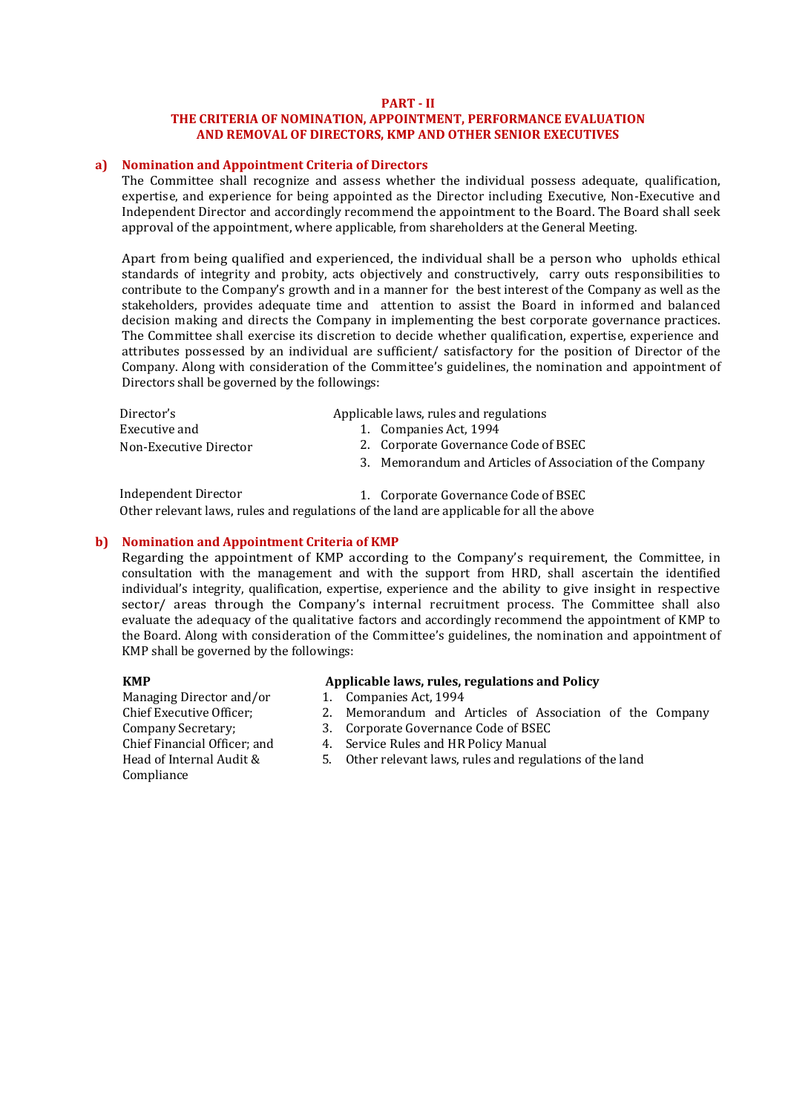# **PART - II**

# **THE CRITERIA OF NOMINATION, APPOINTMENT, PERFORMANCE EVALUATION AND REMOVAL OF DIRECTORS, KMP AND OTHER SENIOR EXECUTIVES**

# **a) Nomination and Appointment Criteria of Directors**

The Committee shall recognize and assess whether the individual possess adequate, qualification, expertise, and experience for being appointed as the Director including Executive, Non-Executive and Independent Director and accordingly recommend the appointment to the Board. The Board shall seek approval of the appointment, where applicable, from shareholders at the General Meeting.

Apart from being qualified and experienced, the individual shall be a person who upholds ethical standards of integrity and probity, acts objectively and constructively, carry outs responsibilities to contribute to the Company's growth and in a manner for the best interest of the Company as well as the stakeholders, provides adequate time and attention to assist the Board in informed and balanced decision making and directs the Company in implementing the best corporate governance practices. The Committee shall exercise its discretion to decide whether qualification, expertise, experience and attributes possessed by an individual are sufficient/ satisfactory for the position of Director of the Company. Along with consideration of the Committee's guidelines, the nomination and appointment of Directors shall be governed by the followings:

| Director's             | Applicable laws, rules and regulations                   |
|------------------------|----------------------------------------------------------|
| Executive and          | 1. Companies Act. 1994                                   |
| Non-Executive Director | 2. Corporate Governance Code of BSEC                     |
|                        | 3. Memorandum and Articles of Association of the Company |
|                        |                                                          |

Independent Director 1. Corporate Governance Code of BSEC Other relevant laws, rules and regulations of the land are applicable for all the above

# **b) Nomination and Appointment Criteria of KMP**

Regarding the appointment of KMP according to the Company's requirement, the Committee, in consultation with the management and with the support from HRD, shall ascertain the identified individual's integrity, qualification, expertise, experience and the ability to give insight in respective sector/ areas through the Company's internal recruitment process. The Committee shall also evaluate the adequacy of the qualitative factors and accordingly recommend the appointment of KMP to the Board. Along with consideration of the Committee's guidelines, the nomination and appointment of KMP shall be governed by the followings:

Managing Director and/or 1. Chief Executive Officer; 2. Company Secretary; Chief Financial Officer: and Head of Internal Audit & 5. Compliance

# **KMP Applicable laws, rules, regulations and Policy**

- 1. Companies Act, 1994
- Memorandum and Articles of Association of the Company
- 3. Corporate Governance Code of BSEC
- 4. Service Rules and HR Policy Manual
- 5. Other relevant laws, rules and regulations of the land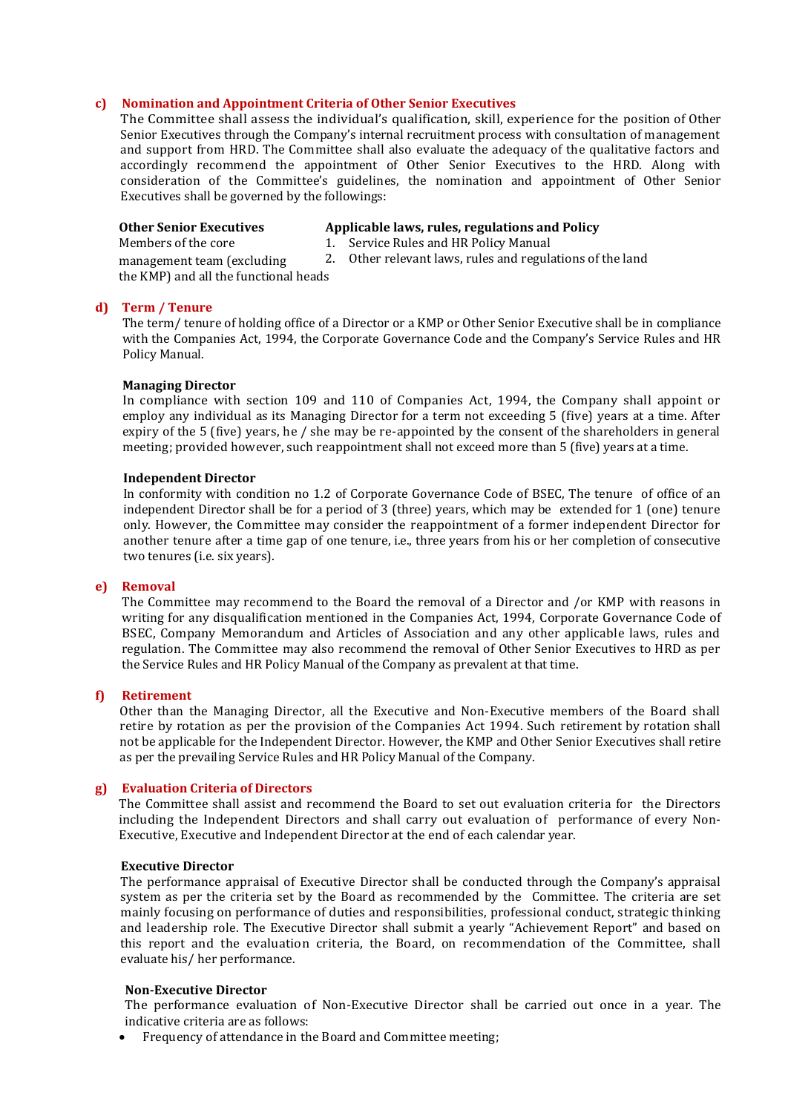# **c) Nomination and Appointment Criteria of Other Senior Executives**

The Committee shall assess the individual's qualification, skill, experience for the position of Other Senior Executives through the Company's internal recruitment process with consultation of management and support from HRD. The Committee shall also evaluate the adequacy of the qualitative factors and accordingly recommend the appointment of Other Senior Executives to the HRD. Along with consideration of the Committee's guidelines, the nomination and appointment of Other Senior Executives shall be governed by the followings:

| <b>Other Senior Executives</b>        | Applicable laws, rules, regulations and Policy            |
|---------------------------------------|-----------------------------------------------------------|
| Members of the core                   | 1. Service Rules and HR Policy Manual                     |
| management team (excluding)           | 2. Other relevant laws, rules and regulations of the land |
| the KMP) and all the functional heads |                                                           |

# **d) Term / Tenure**

The term/ tenure of holding office of a Director or a KMP or Other Senior Executive shall be in compliance with the Companies Act, 1994, the Corporate Governance Code and the Company's Service Rules and HR Policy Manual.

# **Managing Director**

In compliance with section 109 and 110 of Companies Act, 1994, the Company shall appoint or employ any individual as its Managing Director for a term not exceeding 5 (five) years at a time. After expiry of the 5 (five) years, he / she may be re-appointed by the consent of the shareholders in general meeting; provided however, such reappointment shall not exceed more than 5 (five) years at a time.

#### **Independent Director**

In conformity with condition no 1.2 of Corporate Governance Code of BSEC, The tenure of office of an independent Director shall be for a period of 3 (three) years, which may be extended for 1 (one) tenure only. However, the Committee may consider the reappointment of a former independent Director for another tenure after a time gap of one tenure, i.e., three years from his or her completion of consecutive two tenures (i.e. six years).

# **e) Removal**

The Committee may recommend to the Board the removal of a Director and /or KMP with reasons in writing for any disqualification mentioned in the Companies Act, 1994, Corporate Governance Code of BSEC, Company Memorandum and Articles of Association and any other applicable laws, rules and regulation. The Committee may also recommend the removal of Other Senior Executives to HRD as per the Service Rules and HR Policy Manual of the Company as prevalent at that time.

# **f) Retirement**

Other than the Managing Director, all the Executive and Non-Executive members of the Board shall retire by rotation as per the provision of the Companies Act 1994. Such retirement by rotation shall not be applicable for the Independent Director. However, the KMP and Other Senior Executives shall retire as per the prevailing Service Rules and HR Policy Manual of the Company.

# **g) Evaluation Criteria of Directors**

The Committee shall assist and recommend the Board to set out evaluation criteria for the Directors including the Independent Directors and shall carry out evaluation of performance of every Non-Executive, Executive and Independent Director at the end of each calendar year.

## **Executive Director**

The performance appraisal of Executive Director shall be conducted through the Company's appraisal system as per the criteria set by the Board as recommended by the Committee. The criteria are set mainly focusing on performance of duties and responsibilities, professional conduct, strategic thinking and leadership role. The Executive Director shall submit a yearly "Achievement Report" and based on this report and the evaluation criteria, the Board, on recommendation of the Committee, shall evaluate his/ her performance.

#### **Non-Executive Director**

The performance evaluation of Non-Executive Director shall be carried out once in a year. The indicative criteria are as follows:

• Frequency of attendance in the Board and Committee meeting;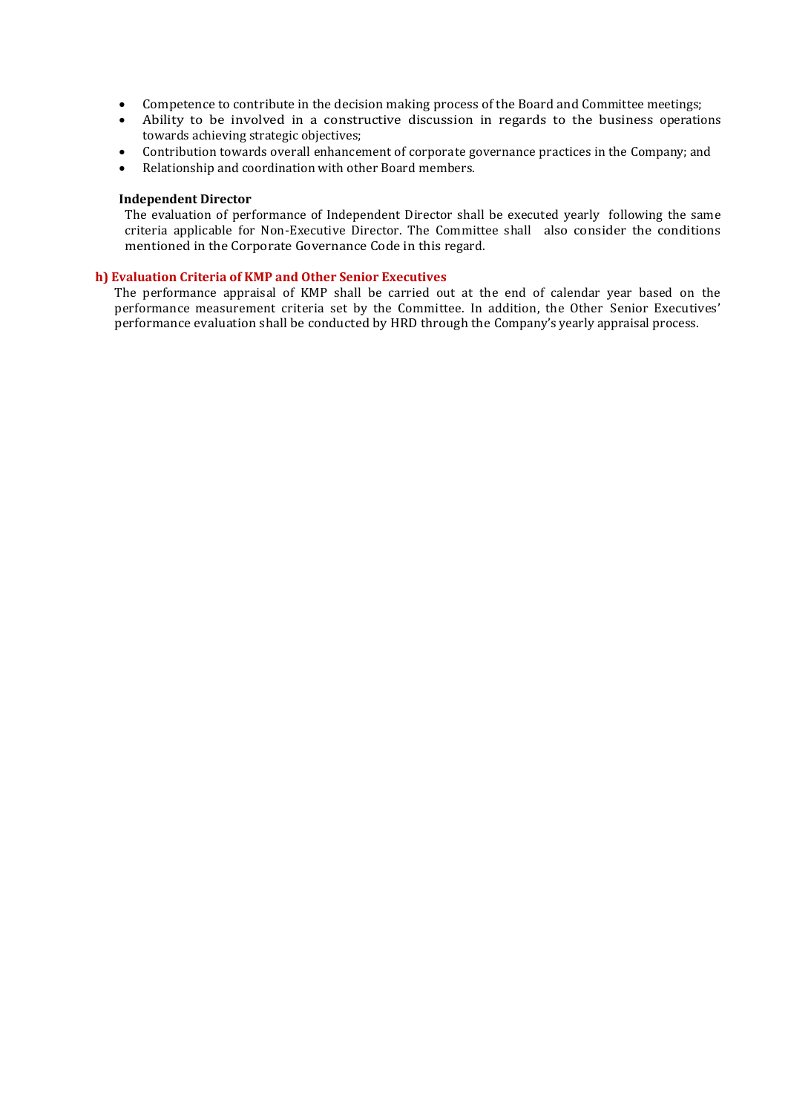- Competence to contribute in the decision making process of the Board and Committee meetings;
- Ability to be involved in a constructive discussion in regards to the business operations towards achieving strategic objectives;
- Contribution towards overall enhancement of corporate governance practices in the Company; and
- Relationship and coordination with other Board members.

# **Independent Director**

The evaluation of performance of Independent Director shall be executed yearly following the same criteria applicable for Non-Executive Director. The Committee shall also consider the conditions mentioned in the Corporate Governance Code in this regard.

# **h) Evaluation Criteria of KMP and Other Senior Executives**

The performance appraisal of KMP shall be carried out at the end of calendar year based on the performance measurement criteria set by the Committee. In addition, the Other Senior Executives' performance evaluation shall be conducted by HRD through the Company's yearly appraisal process.